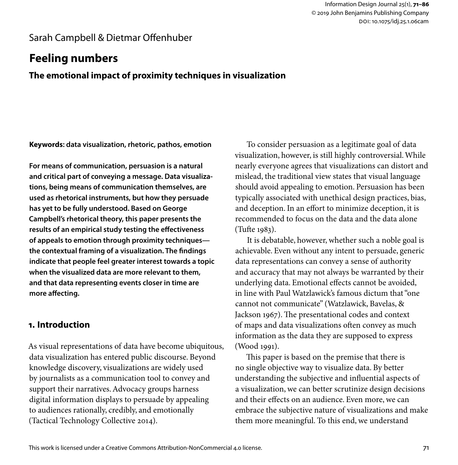## Sarah Campbell & Dietmar Offenhuber

# **Feeling numbers**

**The emotional impact of proximity techniques in visualization**

**Keywords: data visualization, rhetoric, pathos, emotion**

**For means of communication, persuasion is a natural and critical part of conveying a message. Data visualizations, being means of communication themselves, are used as rhetorical instruments, but how they persuade has yet to be fully understood. Based on George Campbell's rhetorical theory, this paper presents the results of an empirical study testing the effectiveness of appeals to emotion through proximity techniques the contextual framing of a visualization. The findings indicate that people feel greater interest towards a topic when the visualized data are more relevant to them, and that data representing events closer in time are more affecting.**

## **1. Introduction**

As visual representations of data have become ubiquitous, data visualization has entered public discourse. Beyond knowledge discovery, visualizations are widely used by journalists as a communication tool to convey and support their narratives. Advocacy groups harness digital information displays to persuade by appealing to audiences rationally, credibly, and emotionally (Tactical Technology Collective 2014).

To consider persuasion as a legitimate goal of data visualization, however, is still highly controversial. While nearly everyone agrees that visualizations can distort and mislead, the traditional view states that visual language should avoid appealing to emotion. Persuasion has been typically associated with unethical design practices, bias, and deception. In an effort to minimize deception, it is recommended to focus on the data and the data alone (Tufte 1983).

It is debatable, however, whether such a noble goal is achievable. Even without any intent to persuade, generic data representations can convey a sense of authority and accuracy that may not always be warranted by their underlying data. Emotional effects cannot be avoided, in line with Paul Watzlawick's famous dictum that "one cannot not communicate" (Watzlawick, Bavelas, & Jackson 1967). The presentational codes and context of maps and data visualizations often convey as much information as the data they are supposed to express (Wood 1991).

This paper is based on the premise that there is no single objective way to visualize data. By better understanding the subjective and influential aspects of a visualization, we can better scrutinize design decisions and their effects on an audience. Even more, we can embrace the subjective nature of visualizations and make them more meaningful. To this end, we understand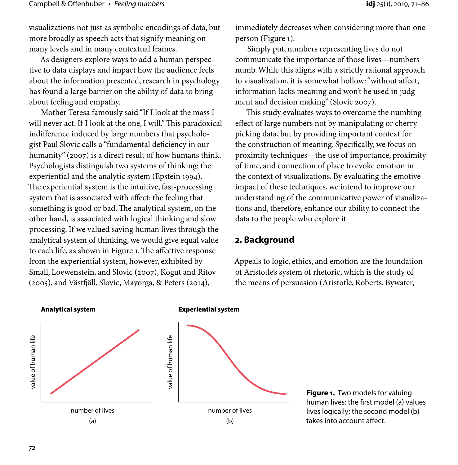visualizations not just as symbolic encodings of data, but more broadly as speech acts that signify meaning on many levels and in many contextual frames.

As designers explore ways to add a human perspective to data displays and impact how the audience feels about the information presented, research in psychology has found a large barrier on the ability of data to bring about feeling and empathy.

Mother Teresa famously said "If I look at the mass I will never act. If I look at the one, I will." This paradoxical indifference induced by large numbers that psychologist Paul Slovic calls a "fundamental deficiency in our humanity" (2007) is a direct result of how humans think. Psychologists distinguish two systems of thinking: the experiential and the analytic system (Epstein 1994). The experiential system is the intuitive, fast-processing system that is associated with affect: the feeling that something is good or bad. The analytical system, on the other hand, is associated with logical thinking and slow processing. If we valued saving human lives through the analytical system of thinking, we would give equal value to each life, as shown in Figure 1. The affective response from the experiential system, however, exhibited by Small, Loewenstein, and Slovic (2007), Kogut and Ritov (2005), and Västfjäll, Slovic, Mayorga, & Peters (2014),

immediately decreases when considering more than one person (Figure 1).

Simply put, numbers representing lives do not communicate the importance of those lives—numbers numb. While this aligns with a strictly rational approach to visualization, it is somewhat hollow: "without affect, information lacks meaning and won't be used in judgment and decision making" (Slovic 2007).

This study evaluates ways to overcome the numbing effect of large numbers not by manipulating or cherrypicking data, but by providing important context for the construction of meaning. Specifically, we focus on proximity techniques—the use of importance, proximity of time, and connection of place to evoke emotion in the context of visualizations. By evaluating the emotive impact of these techniques, we intend to improve our understanding of the communicative power of visualizations and, therefore, enhance our ability to connect the data to the people who explore it.

## **2. Background**

Appeals to logic, ethics, and emotion are the foundation of Aristotle's system of rhetoric, which is the study of the means of persuasion (Aristotle, Roberts, Bywater,



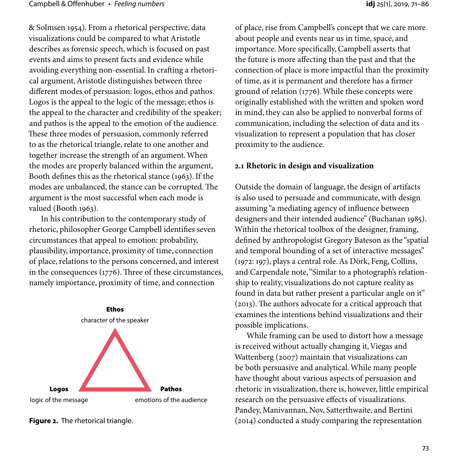& Solmsen 1954). From a rhetorical perspective, data visualizations could be compared to what Aristotle describes as forensic speech, which is focused on past events and aims to present facts and evidence while avoiding everything non-essential. In crafting a rhetorical argument, Aristotle distinguishes between three different modes of persuasion: logos, ethos and pathos. Logos is the appeal to the logic of the message; ethos is the appeal to the character and credibility of the speaker; and pathos is the appeal to the emotion of the audience. These three modes of persuasion, commonly referred to as the rhetorical triangle, relate to one another and together increase the strength of an argument. When the modes are properly balanced within the argument, Booth defines this as the rhetorical stance (1963). If the modes are unbalanced, the stance can be corrupted. The argument is the most successful when each mode is valued (Booth 1963).

In his contribution to the contemporary study of rhetoric, philosopher George Campbell identifies seven circumstances that appeal to emotion: probability, plausibility, importance, proximity of time, connection of place, relations to the persons concerned, and interest in the consequences (1776). Three of these circumstances, namely importance, proximity of time, and connection



of place, rise from Campbell's concept that we care more about people and events near us in time, space, and importance. More specifically, Campbell asserts that the future is more affecting than the past and that the connection of place is more impactful than the proximity of time, as it is permanent and therefore has a firmer ground of relation (1776). While these concepts were originally established with the written and spoken word in mind, they can also be applied to nonverbal forms of communication, including the selection of data and its visualization to represent a population that has closer proximity to the audience.

#### **2.1 Rhetoric in design and visualization**

Outside the domain of language, the design of artifacts is also used to persuade and communicate, with design assuming "a mediating agency of influence between designers and their intended audience" (Buchanan 1985). Within the rhetorical toolbox of the designer, framing, defined by anthropologist Gregory Bateson as the "spatial and temporal bounding of a set of interactive messages" (1972: 197), plays a central role. As Dörk, Feng, Collins, and Carpendale note, "Similar to a photograph's relationship to reality, visualizations do not capture reality as found in data but rather present a particular angle on it" (2013). The authors advocate for a critical approach that examines the intentions behind visualizations and their possible implications.

While framing can be used to distort how a message is received without actually changing it, Viegas and Wattenberg (2007) maintain that visualizations can be both persuasive and analytical. While many people have thought about various aspects of persuasion and rhetoric in visualization, there is, however, little empirical research on the persuasive effects of visualizations. Pandey, Manivannan, Nov, Satterthwaite, and Bertini **Figure 2.** The rhetorical triangle. The rhetorical triangle. (2014) conducted a study comparing the representation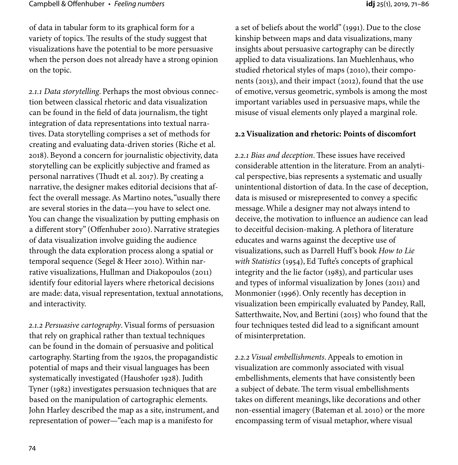of data in tabular form to its graphical form for a variety of topics. The results of the study suggest that visualizations have the potential to be more persuasive when the person does not already have a strong opinion on the topic.

*2.1.1 Data storytelling*. Perhaps the most obvious connection between classical rhetoric and data visualization can be found in the field of data journalism, the tight integration of data representations into textual narratives. Data storytelling comprises a set of methods for creating and evaluating data-driven stories (Riche et al. 2018). Beyond a concern for journalistic objectivity, data storytelling can be explicitly subjective and framed as personal narratives (Thudt et al. 2017). By creating a narrative, the designer makes editorial decisions that affect the overall message. As Martino notes, "usually there are several stories in the data—you have to select one. You can change the visualization by putting emphasis on a different story" (Offenhuber 2010). Narrative strategies of data visualization involve guiding the audience through the data exploration process along a spatial or temporal sequence (Segel & Heer 2010). Within narrative visualizations, Hullman and Diakopoulos (2011) identify four editorial layers where rhetorical decisions are made: data, visual representation, textual annotations, and interactivity.

*2.1.2 Persuasive cartography*. Visual forms of persuasion that rely on graphical rather than textual techniques can be found in the domain of persuasive and political cartography. Starting from the 1920s, the propagandistic potential of maps and their visual languages has been systematically investigated (Haushofer 1928). Judith Tyner (1982) investigates persuasion techniques that are based on the manipulation of cartographic elements. John Harley described the map as a site, instrument, and representation of power—"each map is a manifesto for

a set of beliefs about the world" (1991). Due to the close kinship between maps and data visualizations, many insights about persuasive cartography can be directly applied to data visualizations. Ian Muehlenhaus, who studied rhetorical styles of maps (2010), their components (2013), and their impact (2012), found that the use of emotive, versus geometric, symbols is among the most important variables used in persuasive maps, while the misuse of visual elements only played a marginal role.

## **2.2 Visualization and rhetoric: Points of discomfort**

*2.2.1 Bias and deception*. These issues have received considerable attention in the literature. From an analytical perspective, bias represents a systematic and usually unintentional distortion of data. In the case of deception, data is misused or misrepresented to convey a specific message. While a designer may not always intend to deceive, the motivation to influence an audience can lead to deceitful decision-making. A plethora of literature educates and warns against the deceptive use of visualizations, such as Darrell Huff's book *How to Lie with Statistics* (1954), Ed Tufte's concepts of graphical integrity and the lie factor (1983), and particular uses and types of informal visualization by Jones (2011) and Monmonier (1996). Only recently has deception in visualization been empirically evaluated by Pandey, Rall, Satterthwaite, Nov, and Bertini (2015) who found that the four techniques tested did lead to a significant amount of misinterpretation.

*2.2.2 Visual embellishments*. Appeals to emotion in visualization are commonly associated with visual embellishments, elements that have consistently been a subject of debate. The term visual embellishments takes on different meanings, like decorations and other non-essential imagery (Bateman et al. 2010) or the more encompassing term of visual metaphor, where visual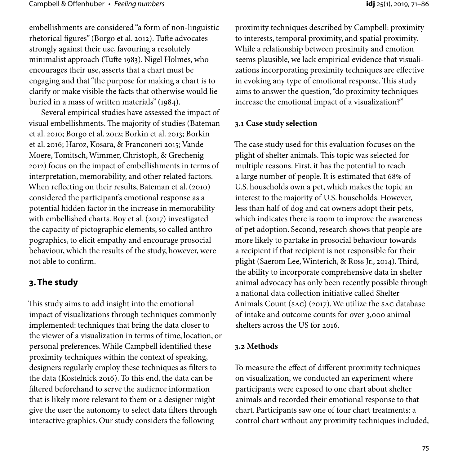embellishments are considered "a form of non-linguistic rhetorical figures" (Borgo et al. 2012). Tufte advocates strongly against their use, favouring a resolutely minimalist approach (Tufte 1983). Nigel Holmes, who encourages their use, asserts that a chart must be engaging and that "the purpose for making a chart is to clarify or make visible the facts that otherwise would lie buried in a mass of written materials" (1984).

Several empirical studies have assessed the impact of visual embellishments. The majority of studies (Bateman et al. 2010; Borgo et al. 2012; Borkin et al. 2013; Borkin et al. 2016; Haroz, Kosara, & Franconeri 2015; Vande Moere, Tomitsch, Wimmer, Christoph, & Grechenig 2012) focus on the impact of embellishments in terms of interpretation, memorability, and other related factors. When reflecting on their results, Bateman et al. (2010) considered the participant's emotional response as a potential hidden factor in the increase in memorability with embellished charts. Boy et al. (2017) investigated the capacity of pictographic elements, so called anthropographics, to elicit empathy and encourage prosocial behaviour, which the results of the study, however, were not able to confirm.

## **3. The study**

This study aims to add insight into the emotional impact of visualizations through techniques commonly implemented: techniques that bring the data closer to the viewer of a visualization in terms of time, location, or personal preferences. While Campbell identified these proximity techniques within the context of speaking, designers regularly employ these techniques as filters to the data (Kostelnick 2016). To this end, the data can be filtered beforehand to serve the audience information that is likely more relevant to them or a designer might give the user the autonomy to select data filters through interactive graphics. Our study considers the following

to interests, temporal proximity, and spatial proximity. While a relationship between proximity and emotion seems plausible, we lack empirical evidence that visualizations incorporating proximity techniques are effective in evoking any type of emotional response. This study aims to answer the question, "do proximity techniques increase the emotional impact of a visualization?"

#### **3.1 Case study selection**

The case study used for this evaluation focuses on the plight of shelter animals. This topic was selected for multiple reasons. First, it has the potential to reach a large number of people. It is estimated that 68% of U.S. households own a pet, which makes the topic an interest to the majority of U.S. households. However, less than half of dog and cat owners adopt their pets, which indicates there is room to improve the awareness of pet adoption. Second, research shows that people are more likely to partake in prosocial behaviour towards a recipient if that recipient is not responsible for their plight (Saerom Lee, Winterich, & Ross Jr., 2014). Third, the ability to incorporate comprehensive data in shelter animal advocacy has only been recently possible through a national data collection initiative called Shelter Animals Count (SAC) (2017). We utilize the SAC database of intake and outcome counts for over 3,000 animal shelters across the US for 2016.

#### **3.2 Methods**

To measure the effect of different proximity techniques on visualization, we conducted an experiment where participants were exposed to one chart about shelter animals and recorded their emotional response to that chart. Participants saw one of four chart treatments: a control chart without any proximity techniques included,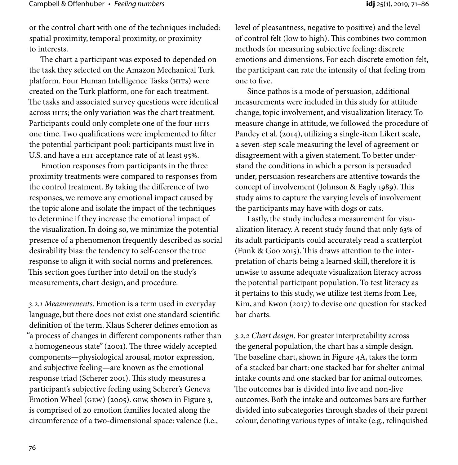or the control chart with one of the techniques included: spatial proximity, temporal proximity, or proximity to interests.

The chart a participant was exposed to depended on the task they selected on the Amazon Mechanical Turk platform. Four Human Intelligence Tasks (HITs) were created on the Turk platform, one for each treatment. The tasks and associated survey questions were identical across HITs; the only variation was the chart treatment. Participants could only complete one of the four HITS one time. Two qualifications were implemented to filter the potential participant pool: participants must live in U.S. and have a HIT acceptance rate of at least 95%.

Emotion responses from participants in the three proximity treatments were compared to responses from the control treatment. By taking the difference of two responses, we remove any emotional impact caused by the topic alone and isolate the impact of the techniques to determine if they increase the emotional impact of the visualization. In doing so, we minimize the potential presence of a phenomenon frequently described as social desirability bias: the tendency to self-censor the true response to align it with social norms and preferences. This section goes further into detail on the study's measurements, chart design, and procedure.

*3.2.1 Measurements*. Emotion is a term used in everyday language, but there does not exist one standard scientific definition of the term. Klaus Scherer defines emotion as "a process of changes in different components rather than a homogeneous state" (2001). The three widely accepted components—physiological arousal, motor expression, and subjective feeling—are known as the emotional response triad (Scherer 2001). This study measures a participant's subjective feeling using Scherer's Geneva Emotion Wheel (GEW) (2005). GEW, shown in Figure 3, is comprised of 20 emotion families located along the circumference of a two-dimensional space: valence (i.e.,

level of pleasantness, negative to positive) and the level of control felt (low to high). This combines two common methods for measuring subjective feeling: discrete emotions and dimensions. For each discrete emotion felt, the participant can rate the intensity of that feeling from one to five.

Since pathos is a mode of persuasion, additional measurements were included in this study for attitude change, topic involvement, and visualization literacy. To measure change in attitude, we followed the procedure of Pandey et al. (2014), utilizing a single-item Likert scale, a seven-step scale measuring the level of agreement or disagreement with a given statement. To better understand the conditions in which a person is persuaded under, persuasion researchers are attentive towards the concept of involvement (Johnson & Eagly 1989). This study aims to capture the varying levels of involvement the participants may have with dogs or cats.

Lastly, the study includes a measurement for visualization literacy. A recent study found that only 63% of its adult participants could accurately read a scatterplot (Funk & Goo 2015). This draws attention to the interpretation of charts being a learned skill, therefore it is unwise to assume adequate visualization literacy across the potential participant population. To test literacy as it pertains to this study, we utilize test items from Lee, Kim, and Kwon (2017) to devise one question for stacked bar charts.

*3.2.2 Chart design*. For greater interpretability across the general population, the chart has a simple design. The baseline chart, shown in Figure 4A, takes the form of a stacked bar chart: one stacked bar for shelter animal intake counts and one stacked bar for animal outcomes. The outcomes bar is divided into live and non-live outcomes. Both the intake and outcomes bars are further divided into subcategories through shades of their parent colour, denoting various types of intake (e.g., relinquished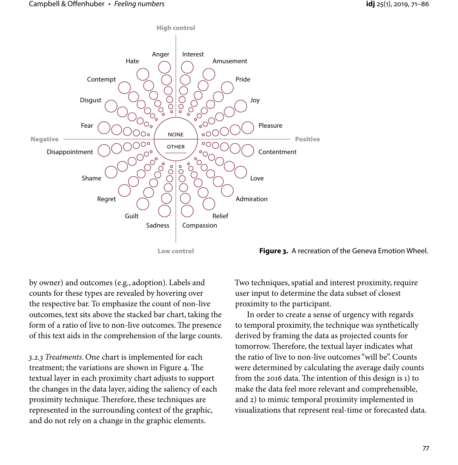

#### **Figure 3.** A recreation of the Geneva Emotion Wheel.

by owner) and outcomes (e.g., adoption). Labels and counts for these types are revealed by hovering over the respective bar. To emphasize the count of non-live outcomes, text sits above the stacked bar chart, taking the form of a ratio of live to non-live outcomes. The presence of this text aids in the comprehension of the large counts.

*3.2.3 Treatments*. One chart is implemented for each treatment; the variations are shown in Figure 4. The textual layer in each proximity chart adjusts to support the changes in the data layer, aiding the saliency of each proximity technique. Therefore, these techniques are represented in the surrounding context of the graphic, and do not rely on a change in the graphic elements.

Two techniques, spatial and interest proximity, require user input to determine the data subset of closest proximity to the participant.

In order to create a sense of urgency with regards to temporal proximity, the technique was synthetically derived by framing the data as projected counts for tomorrow. Therefore, the textual layer indicates what the ratio of live to non-live outcomes "will be". Counts were determined by calculating the average daily counts from the 2016 data. The intention of this design is 1) to make the data feel more relevant and comprehensible, and 2) to mimic temporal proximity implemented in visualizations that represent real-time or forecasted data.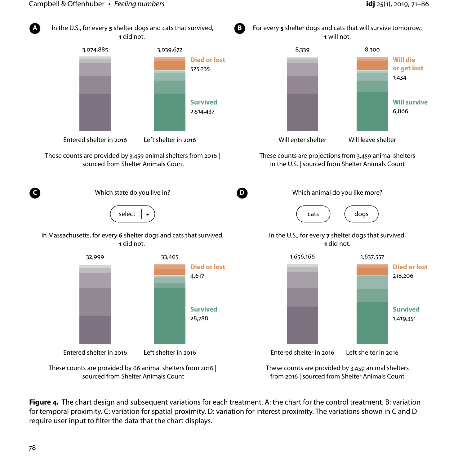

**Figure 4.** The chart design and subsequent variations for each treatment. A: the chart for the control treatment. B: variation for temporal proximity. C: variation for spatial proximity. D: variation for interest proximity. The variations shown in C and D require user input to filter the data that the chart displays.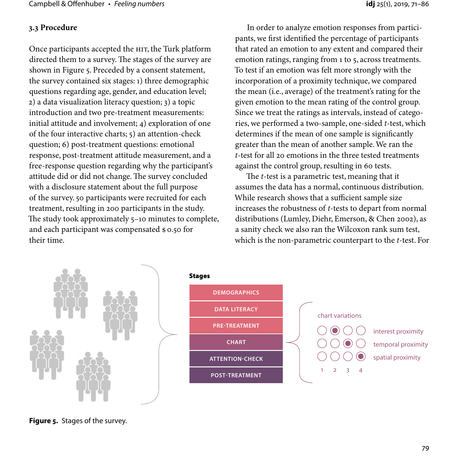## **3.3 Procedure**

Once participants accepted the HIT, the Turk platform directed them to a survey. The stages of the survey are shown in Figure 5. Preceded by a consent statement, the survey contained six stages: 1) three demographic questions regarding age, gender, and education level; 2) a data visualization literacy question; 3) a topic introduction and two pre-treatment measurements: initial attitude and involvement; 4) exploration of one of the four interactive charts; 5) an attention-check question; 6) post-treatment questions: emotional response, post-treatment attitude measurement, and a free-response question regarding why the participant's attitude did or did not change. The survey concluded with a disclosure statement about the full purpose of the survey. 50 participants were recruited for each treatment, resulting in 200 participants in the study. The study took approximately 5–10 minutes to complete, and each participant was compensated \$0.50 for their time.

In order to analyze emotion responses from participants, we first identified the percentage of participants that rated an emotion to any extent and compared their emotion ratings, ranging from 1 to 5, across treatments. To test if an emotion was felt more strongly with the incorporation of a proximity technique, we compared the mean (i.e., average) of the treatment's rating for the given emotion to the mean rating of the control group. Since we treat the ratings as intervals, instead of categories, we performed a two-sample, one-sided *t*-test, which determines if the mean of one sample is significantly greater than the mean of another sample. We ran the *t*-test for all 20 emotions in the three tested treatments against the control group, resulting in 60 tests.

The *t*-test is a parametric test, meaning that it assumes the data has a normal, continuous distribution. While research shows that a sufficient sample size increases the robustness of *t*-tests to depart from normal distributions (Lumley, Diehr, Emerson, & Chen 2002), as a sanity check we also ran the Wilcoxon rank sum test, which is the non-parametric counterpart to the *t*-test. For



**Figure 5.** Stages of the survey.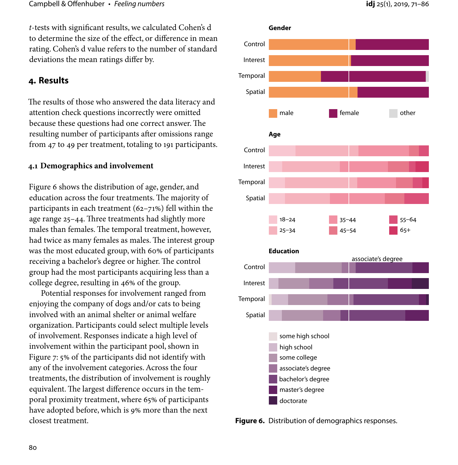*t*-tests with significant results, we calculated Cohen's d to determine the size of the effect, or difference in mean rating. Cohen's d value refers to the number of standard deviations the mean ratings differ by.

## **4. Results**

The results of those who answered the data literacy and attention check questions incorrectly were omitted because these questions had one correct answer. The resulting number of participants after omissions range from 47 to 49 per treatment, totaling to 191 participants.

#### **4.1 Demographics and involvement**

Figure 6 shows the distribution of age, gender, and education across the four treatments. The majority of participants in each treatment (62–71%) fell within the age range 25–44. Three treatments had slightly more males than females. The temporal treatment, however, had twice as many females as males. The interest group was the most educated group, with 60% of participants receiving a bachelor's degree or higher. The control group had the most participants acquiring less than a college degree, resulting in 46% of the group.

Potential responses for involvement ranged from enjoying the company of dogs and/or cats to being involved with an animal shelter or animal welfare organization. Participants could select multiple levels of involvement. Responses indicate a high level of involvement within the participant pool, shown in Figure 7: 5% of the participants did not identify with any of the involvement categories. Across the four treatments, the distribution of involvement is roughly equivalent. The largest difference occurs in the temporal proximity treatment, where 65% of participants have adopted before, which is 9% more than the next closest treatment.



**Figure 6.** Distribution of demographics responses.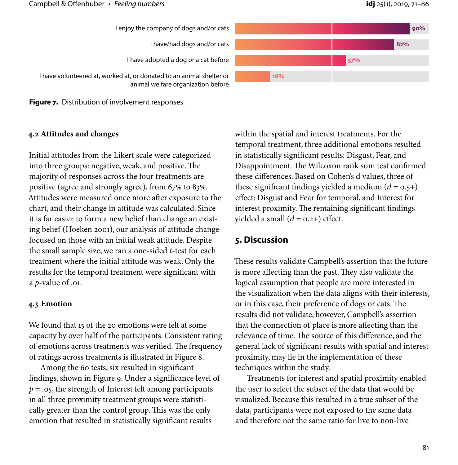

**Figure 7.** Distribution of involvement responses.

#### **4.2 Attitudes and changes**

Initial attitudes from the Likert scale were categorized into three groups: negative, weak, and positive. The majority of responses across the four treatments are positive (agree and strongly agree), from 67% to 83%. Attitudes were measured once more after exposure to the chart, and their change in attitude was calculated. Since it is far easier to form a new belief than change an existing belief (Hoeken 2001), our analysis of attitude change focused on those with an initial weak attitude. Despite the small sample size, we ran a one-sided *t*-test for each treatment where the initial attitude was weak. Only the results for the temporal treatment were significant with a *p*-value of .01.

#### **4.3 Emotion**

We found that 15 of the 20 emotions were felt at some capacity by over half of the participants. Consistent rating of emotions across treatments was verified. The frequency of ratings across treatments is illustrated in Figure 8.

Among the 60 tests, six resulted in significant findings, shown in Figure 9. Under a significance level of *p* = .05, the strength of Interest felt among participants in all three proximity treatment groups were statistically greater than the control group. This was the only emotion that resulted in statistically significant results

within the spatial and interest treatments. For the temporal treatment, three additional emotions resulted in statistically significant results: Disgust, Fear, and Disappointment. The Wilcoxon rank sum test confirmed these differences. Based on Cohen's d values, three of these significant findings yielded a medium  $(d = 0.5+)$ effect: Disgust and Fear for temporal, and Interest for interest proximity. The remaining significant findings yielded a small  $(d = 0.2+)$  effect.

## **5. Discussion**

These results validate Campbell's assertion that the future is more affecting than the past. They also validate the logical assumption that people are more interested in the visualization when the data aligns with their interests, or in this case, their preference of dogs or cats. The results did not validate, however, Campbell's assertion that the connection of place is more affecting than the relevance of time. The source of this difference, and the general lack of significant results with spatial and interest proximity, may lie in the implementation of these techniques within the study.

Treatments for interest and spatial proximity enabled the user to select the subset of the data that would be visualized. Because this resulted in a true subset of the data, participants were not exposed to the same data and therefore not the same ratio for live to non-live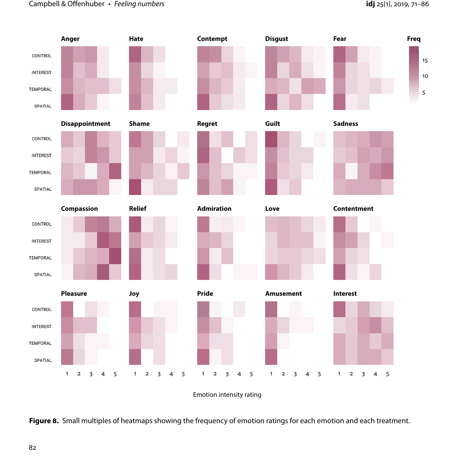## Campbell & Offenhuber • *Feeling numbers* **idj** 25(1), 2019, 71–86



Emotion intensity rating

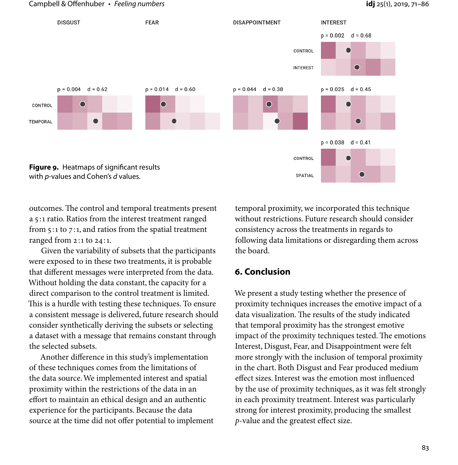#### Campbell & Offenhuber • *Feeling numbers* **idj** 25(1), 2019, 71–86



outcomes. The control and temporal treatments present a 5 :1 ratio. Ratios from the interest treatment ranged from  $5:1$  to  $7:1$ , and ratios from the spatial treatment ranged from 2 :1 to 24 :1.

Given the variability of subsets that the participants were exposed to in these two treatments, it is probable that different messages were interpreted from the data. Without holding the data constant, the capacity for a direct comparison to the control treatment is limited. This is a hurdle with testing these techniques. To ensure a consistent message is delivered, future research should consider synthetically deriving the subsets or selecting a dataset with a message that remains constant through the selected subsets.

Another difference in this study's implementation of these techniques comes from the limitations of the data source. We implemented interest and spatial proximity within the restrictions of the data in an effort to maintain an ethical design and an authentic experience for the participants. Because the data source at the time did not offer potential to implement

temporal proximity, we incorporated this technique without restrictions. Future research should consider consistency across the treatments in regards to following data limitations or disregarding them across the board.

### **6. Conclusion**

We present a study testing whether the presence of proximity techniques increases the emotive impact of a data visualization. The results of the study indicated that temporal proximity has the strongest emotive impact of the proximity techniques tested. The emotions Interest, Disgust, Fear, and Disappointment were felt more strongly with the inclusion of temporal proximity in the chart. Both Disgust and Fear produced medium effect sizes. Interest was the emotion most influenced by the use of proximity techniques, as it was felt strongly in each proximity treatment. Interest was particularly strong for interest proximity, producing the smallest *p*-value and the greatest effect size.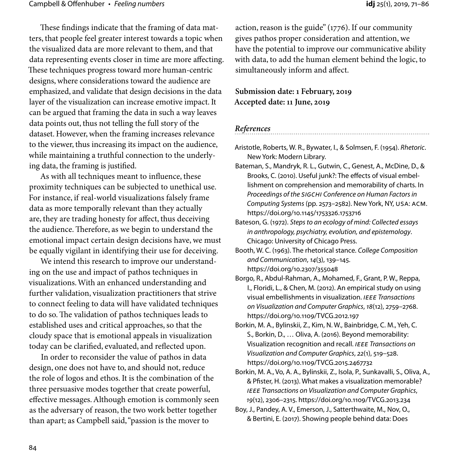These findings indicate that the framing of data matters, that people feel greater interest towards a topic when the visualized data are more relevant to them, and that data representing events closer in time are more affecting. These techniques progress toward more human-centric designs, where considerations toward the audience are emphasized, and validate that design decisions in the data layer of the visualization can increase emotive impact. It can be argued that framing the data in such a way leaves data points out, thus not telling the full story of the dataset. However, when the framing increases relevance to the viewer, thus increasing its impact on the audience, while maintaining a truthful connection to the underlying data, the framing is justified.

As with all techniques meant to influence, these proximity techniques can be subjected to unethical use. For instance, if real-world visualizations falsely frame data as more temporally relevant than they actually are, they are trading honesty for affect, thus deceiving the audience. Therefore, as we begin to understand the emotional impact certain design decisions have, we must be equally vigilant in identifying their use for deceiving.

We intend this research to improve our understanding on the use and impact of pathos techniques in visualizations. With an enhanced understanding and further validation, visualization practitioners that strive to connect feeling to data will have validated techniques to do so. The validation of pathos techniques leads to established uses and critical approaches, so that the cloudy space that is emotional appeals in visualization today can be clarified, evaluated, and reflected upon.

In order to reconsider the value of pathos in data design, one does not have to, and should not, reduce the role of logos and ethos. It is the combination of the three persuasive modes together that create powerful, effective messages. Although emotion is commonly seen as the adversary of reason, the two work better together than apart; as Campbell said, "passion is the mover to

action, reason is the guide" (1776). If our community gives pathos proper consideration and attention, we have the potential to improve our communicative ability with data, to add the human element behind the logic, to simultaneously inform and affect.

**Submission date: 1 February, 2019 Accepted date: 11 June, 2019**

*References*

- Aristotle, Roberts, W. R., Bywater, I., & Solmsen, F. (1954). *Rhetoric*. New York: Modern Library.
- Bateman, S., Mandryk, R. L., Gutwin, C., Genest, A., McDine, D., & Brooks, C. (2010). Useful junk?: The effects of visual embellishment on comprehension and memorability of charts. In *Proceedings of the SIGCHI Conference on Human Factors in Computing Systems* (pp. 2573–2582). New York, NY, USA: ACM. https://doi.org/10.1145/1753326.1753716
- Bateson, G. (1972). *Steps to an ecology of mind: Collected essays in anthropology, psychiatry, evolution, and epistemology*. Chicago: University of Chicago Press.
- Booth, W. C. (1963). The rhetorical stance. *College Composition and Communication*, *14*(3), 139–145. https://doi.org/10.2307/355048
- Borgo, R., Abdul-Rahman, A., Mohamed, F., Grant, P. W., Reppa, I., Floridi, L., & Chen, M. (2012). An empirical study on using visual embellishments in visualization. *IEEE Transactions on Visualization and Computer Graphics*, *18*(12), 2759–2768. https://doi.org/10.1109/TVCG.2012.197
- Borkin, M. A., Bylinskii, Z., Kim, N. W., Bainbridge, C. M., Yeh, C. S., Borkin, D., … Oliva, A. (2016). Beyond memorability: Visualization recognition and recall. *IEEE Transactions on Visualization and Computer Graphics*, *22*(1), 519–528. https://doi.org/10.1109/TVCG.2015.2467732
- Borkin, M. A., Vo, A. A., Bylinskii, Z., Isola, P., Sunkavalli, S., Oliva, A., & Pfister, H. (2013). What makes a visualization memorable? *IEEE Transactions on Visualization and Computer Graphics*, *19*(12), 2306–2315. https://doi.org/10.1109/TVCG.2013.234
- Boy, J., Pandey, A. V., Emerson, J., Satterthwaite, M., Nov, O., & Bertini, E. (2017). Showing people behind data: Does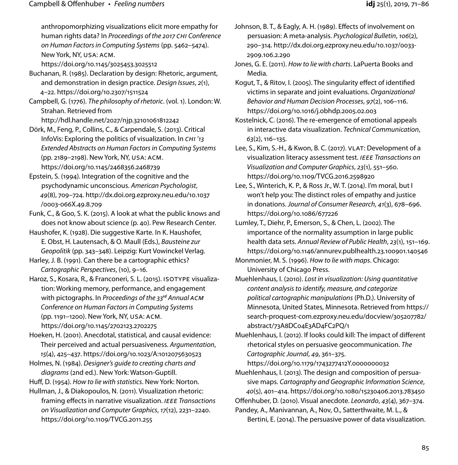anthropomorphizing visualizations elicit more empathy for human rights data? In *Proceedings of the 2017 CHI Conference on Human Factors in Computing Systems* (pp. 5462–5474). New York, NY, USA: ACM.

https://doi.org/10.1145/3025453.3025512

Buchanan, R. (1985). Declaration by design: Rhetoric, argument, and demonstration in design practice. *Design Issues*, *2*(1), 4–22. https://doi.org/10.2307/1511524

Campbell, G. (1776). *The philosophy of rhetoric*. (vol. 1). London: W. Strahan. Retrieved from

http://hdl.handle.net/2027/njp.32101061812242

Dörk, M., Feng, P., Collins, C., & Carpendale, S. (2013). Critical InfoVis: Exploring the politics of visualization. In *CHI '13 Extended Abstracts on Human Factors in Computing Systems* (pp. 2189–2198). New York, NY, USA: ACM. https://doi.org/10.1145/2468356.2468739

Epstein, S. (1994). Integration of the cognitive and the psychodynamic unconscious. *American Psychologist*, *49*(8), 709–724. http://dx.doi.org.ezproxy.neu.edu/10.1037 /0003-066X.49.8.709

Funk, C., & Goo, S. K. (2015). A look at what the public knows and does not know about science (p. 40). Pew Research Center.

Haushofer, K. (1928). Die suggestive Karte. In K. Haushofer, E. Obst, H. Lautensach, & O. Maull (Eds.), *Bausteine zur Geopolitik* (pp. 343–348). Leipzig: Kurt Vowinckel Verlag.

Harley, J. B. (1991). Can there be a cartographic ethics? *Cartographic Perspectives*, (10), 9–16.

Haroz, S., Kosara, R., & Franconeri, S. L. (2015). ISOTYPE visualization: Working memory, performance, and engagement with pictographs. In *Proceedings of the 33rd Annual ACM Conference on Human Factors in Computing Systems* (pp. 1191–1200). New York, NY, USA: ACM. https://doi.org/10.1145/2702123.2702275

Hoeken, H. (2001). Anecdotal, statistical, and causal evidence: Their perceived and actual persuasiveness. *Argumentation*, *15*(4), 425–437. https://doi.org/10.1023/A:1012075630523

Holmes, N. (1984). *Designer's guide to creating charts and diagrams* (2nd ed.). New York: Watson-Guptill.

Huff, D. (1954). *How to lie with statistics*. New York: Norton.

Hullman, J., & Diakopoulos, N. (2011). Visualization rhetoric: framing effects in narrative visualization. *IEEE Transactions on Visualization and Computer Graphics*, *17*(12), 2231–2240. https://doi.org/10.1109/TVCG.2011.255

Johnson, B. T., & Eagly, A. H. (1989). Effects of involvement on persuasion: A meta-analysis. *Psychological Bulletin*, *106*(2), 290–314. http://dx.doi.org.ezproxy.neu.edu/10.1037/0033- 2909.106.2.290

Jones, G. E. (2011). *How to lie with charts*. LaPuerta Books and Media.

Kogut, T., & Ritov, I. (2005). The singularity effect of identified victims in separate and joint evaluations. *Organizational Behavior and Human Decision Processes*, *97*(2), 106–116. https://doi.org/10.1016/j.obhdp.2005.02.003

Kostelnick, C. (2016). The re-emergence of emotional appeals in interactive data visualization. *Technical Communication*, *63*(2), 116–135.

- Lee, S., Kim, S.-H., & Kwon, B. C. (2017). VLAT: Development of a visualization literacy assessment test. *IEEE Transactions on Visualization and Computer Graphics*, *23*(1), 551–560. https://doi.org/10.1109/TVCG.2016.2598920
- Lee, S., Winterich, K. P., & Ross Jr., W. T. (2014). I'm moral, but I won't help you: The distinct roles of empathy and justice in donations. *Journal of Consumer Research*, *41*(3), 678–696. https://doi.org/10.1086/677226

Lumley, T., Diehr, P., Emerson, S., & Chen, L. (2002). The importance of the normality assumption in large public health data sets. *Annual Review of Public Health*, *23*(1), 151–169. https://doi.org/10.1146/annurev.publhealth.23.100901.140546

Monmonier, M. S. (1996). *How to lie with maps*. Chicago: University of Chicago Press.

Muehlenhaus, I. (2010). *Lost in visualization: Using quantitative content analysis to identify, measure, and categorize political cartographic manipulations* (Ph.D.). University of Minnesota, United States, Minnesota. Retrieved from https:// search-proquest-com.ezproxy.neu.edu/docview/305207782/ abstract/73A8DC04E3AD4FC2PQ/1

Muehlenhaus, I. (2012). If looks could kill: The impact of different rhetorical styles on persuasive geocommunication. *The Cartographic Journal*, *49*, 361–375.

https://doi.org/10.1179/1743277412Y.0000000032

Muehlenhaus, I. (2013). The design and composition of persuasive maps. *Cartography and Geographic Information Science*, *40*(5), 401–414. https://doi.org/10.1080/15230406.2013.783450 Offenhuber, D. (2010). Visual anecdote. *Leonardo*, *43*(4), 367–374. Pandey, A., Manivannan, A., Nov, O., Satterthwaite, M. L., &

Bertini, E. (2014). The persuasive power of data visualization.